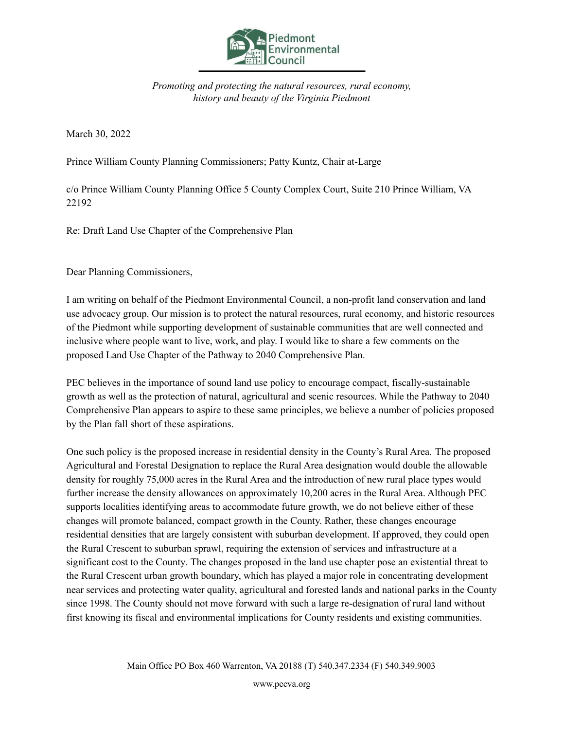

*Promoting and protecting the natural resources, rural economy, history and beauty of the Virginia Piedmont*

March 30, 2022

Prince William County Planning Commissioners; Patty Kuntz, Chair at-Large

c/o Prince William County Planning Office 5 County Complex Court, Suite 210 Prince William, VA 22192

Re: Draft Land Use Chapter of the Comprehensive Plan

Dear Planning Commissioners,

I am writing on behalf of the Piedmont Environmental Council, a non-profit land conservation and land use advocacy group. Our mission is to protect the natural resources, rural economy, and historic resources of the Piedmont while supporting development of sustainable communities that are well connected and inclusive where people want to live, work, and play. I would like to share a few comments on the proposed Land Use Chapter of the Pathway to 2040 Comprehensive Plan.

PEC believes in the importance of sound land use policy to encourage compact, fiscally-sustainable growth as well as the protection of natural, agricultural and scenic resources. While the Pathway to 2040 Comprehensive Plan appears to aspire to these same principles, we believe a number of policies proposed by the Plan fall short of these aspirations.

One such policy is the proposed increase in residential density in the County's Rural Area. The proposed Agricultural and Forestal Designation to replace the Rural Area designation would double the allowable density for roughly 75,000 acres in the Rural Area and the introduction of new rural place types would further increase the density allowances on approximately 10,200 acres in the Rural Area. Although PEC supports localities identifying areas to accommodate future growth, we do not believe either of these changes will promote balanced, compact growth in the County. Rather, these changes encourage residential densities that are largely consistent with suburban development. If approved, they could open the Rural Crescent to suburban sprawl, requiring the extension of services and infrastructure at a significant cost to the County. The changes proposed in the land use chapter pose an existential threat to the Rural Crescent urban growth boundary, which has played a major role in concentrating development near services and protecting water quality, agricultural and forested lands and national parks in the County since 1998. The County should not move forward with such a large re-designation of rural land without first knowing its fiscal and environmental implications for County residents and existing communities.

www.pecva.org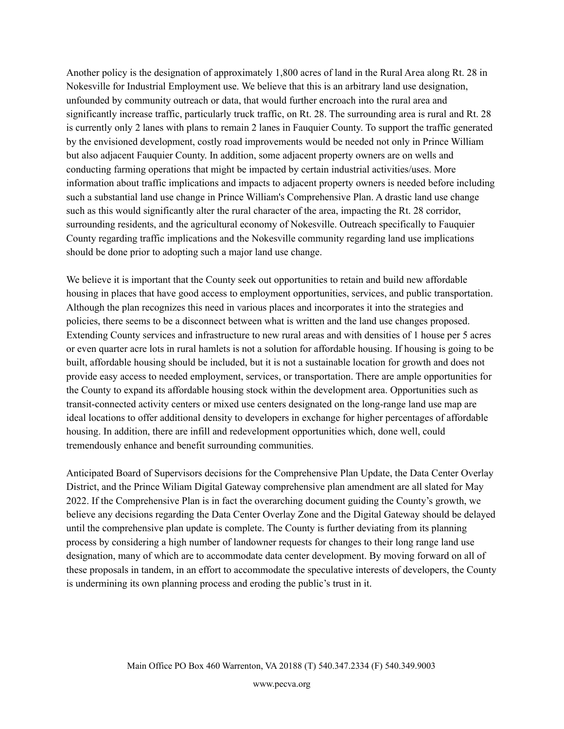Another policy is the designation of approximately 1,800 acres of land in the Rural Area along Rt. 28 in Nokesville for Industrial Employment use. We believe that this is an arbitrary land use designation, unfounded by community outreach or data, that would further encroach into the rural area and significantly increase traffic, particularly truck traffic, on Rt. 28. The surrounding area is rural and Rt. 28 is currently only 2 lanes with plans to remain 2 lanes in Fauquier County. To support the traffic generated by the envisioned development, costly road improvements would be needed not only in Prince William but also adjacent Fauquier County. In addition, some adjacent property owners are on wells and conducting farming operations that might be impacted by certain industrial activities/uses. More information about traffic implications and impacts to adjacent property owners is needed before including such a substantial land use change in Prince William's Comprehensive Plan. A drastic land use change such as this would significantly alter the rural character of the area, impacting the Rt. 28 corridor, surrounding residents, and the agricultural economy of Nokesville. Outreach specifically to Fauquier County regarding traffic implications and the Nokesville community regarding land use implications should be done prior to adopting such a major land use change.

We believe it is important that the County seek out opportunities to retain and build new affordable housing in places that have good access to employment opportunities, services, and public transportation. Although the plan recognizes this need in various places and incorporates it into the strategies and policies, there seems to be a disconnect between what is written and the land use changes proposed. Extending County services and infrastructure to new rural areas and with densities of 1 house per 5 acres or even quarter acre lots in rural hamlets is not a solution for affordable housing. If housing is going to be built, affordable housing should be included, but it is not a sustainable location for growth and does not provide easy access to needed employment, services, or transportation. There are ample opportunities for the County to expand its affordable housing stock within the development area. Opportunities such as transit-connected activity centers or mixed use centers designated on the long-range land use map are ideal locations to offer additional density to developers in exchange for higher percentages of affordable housing. In addition, there are infill and redevelopment opportunities which, done well, could tremendously enhance and benefit surrounding communities.

Anticipated Board of Supervisors decisions for the Comprehensive Plan Update, the Data Center Overlay District, and the Prince Wiliam Digital Gateway comprehensive plan amendment are all slated for May 2022. If the Comprehensive Plan is in fact the overarching document guiding the County's growth, we believe any decisions regarding the Data Center Overlay Zone and the Digital Gateway should be delayed until the comprehensive plan update is complete. The County is further deviating from its planning process by considering a high number of landowner requests for changes to their long range land use designation, many of which are to accommodate data center development. By moving forward on all of these proposals in tandem, in an effort to accommodate the speculative interests of developers, the County is undermining its own planning process and eroding the public's trust in it.

www.pecva.org